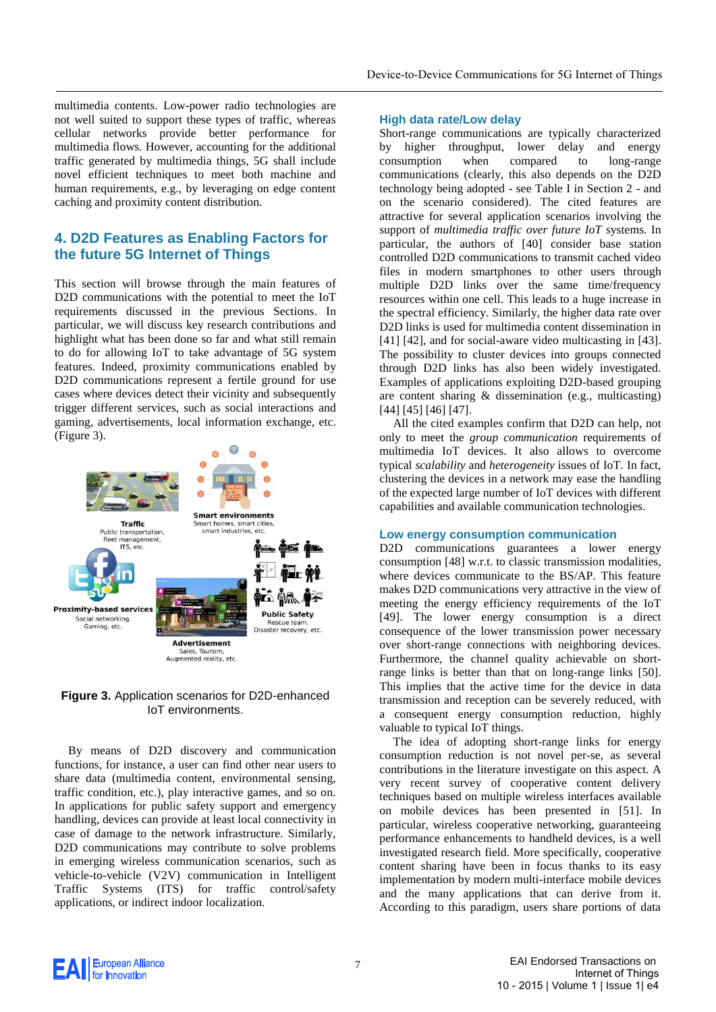multimedia contents. Low-power radio technologies are not well suited to support these types of traffic, whereas cellular networks provide better performance for multimedia flows. However, accounting for the additional traffic generated by multimedia things, 5G shall include novel efficient techniques to meet both machine and human requirements, e.g., by leveraging on edge content caching and proximity content distribution.

# **4. D2D Features as Enabling Factors for the future 5G Internet of Things**

This section will browse through the main features of D2D communications with the potential to meet the IoT requirements discussed in the previous Sections. In particular, we will discuss key research contributions and highlight what has been done so far and what still remain to do for allowing IoT to take advantage of 5G system features. Indeed, proximity communications enabled by D2D communications represent a fertile ground for use cases where devices detect their vicinity and subsequently trigger different services, such as social interactions and gaming, advertisements, local information exchange, etc. (Figure 3).



**Figure 3.** Application scenarios for D2D-enhanced IoT environments.

By means of D2D discovery and communication functions, for instance, a user can find other near users to share data (multimedia content, environmental sensing, traffic condition, etc.), play interactive games, and so on. In applications for public safety support and emergency handling, devices can provide at least local connectivity in case of damage to the network infrastructure. Similarly, D2D communications may contribute to solve problems in emerging wireless communication scenarios, such as vehicle-to-vehicle (V2V) communication in Intelligent Traffic Systems (ITS) for traffic control/safety applications, or indirect indoor localization.

### **High data rate/Low delay**

Short-range communications are typically characterized by higher throughput, lower delay and energy consumption when compared to long-range communications (clearly, this also depends on the D2D technology being adopted - see Table I in Section 2 - and on the scenario considered). The cited features are attractive for several application scenarios involving the support of *multimedia traffic over future IoT* systems. In particular, the authors of [40] consider base station controlled D2D communications to transmit cached video files in modern smartphones to other users through multiple D2D links over the same time/frequency resources within one cell. This leads to a huge increase in the spectral efficiency. Similarly, the higher data rate over D2D links is used for multimedia content dissemination in [41] [42], and for social-aware video multicasting in [43]. The possibility to cluster devices into groups connected through D2D links has also been widely investigated. Examples of applications exploiting D2D-based grouping are content sharing & dissemination (e.g., multicasting) [44] [45] [46] [47].

All the cited examples confirm that D2D can help, not only to meet the *group communication* requirements of multimedia IoT devices. It also allows to overcome typical *scalability* and *heterogeneity* issues of IoT*.* In fact, clustering the devices in a network may ease the handling of the expected large number of IoT devices with different capabilities and available communication technologies.

#### **Low energy consumption communication**

D2D communications guarantees a lower energy consumption [48] w.r.t. to classic transmission modalities, where devices communicate to the BS/AP. This feature makes D2D communications very attractive in the view of meeting the energy efficiency requirements of the IoT [49]. The lower energy consumption is a direct consequence of the lower transmission power necessary over short-range connections with neighboring devices. Furthermore, the channel quality achievable on shortrange links is better than that on long-range links [50]. This implies that the active time for the device in data transmission and reception can be severely reduced, with a consequent energy consumption reduction, highly valuable to typical IoT things.

The idea of adopting short-range links for energy consumption reduction is not novel per-se, as several contributions in the literature investigate on this aspect. A very recent survey of cooperative content delivery techniques based on multiple wireless interfaces available on mobile devices has been presented in [51]. In particular, wireless cooperative networking, guaranteeing performance enhancements to handheld devices, is a well investigated research field. More specifically, cooperative content sharing have been in focus thanks to its easy implementation by modern multi-interface mobile devices and the many applications that can derive from it. According to this paradigm, users share portions of data

AI European Alliance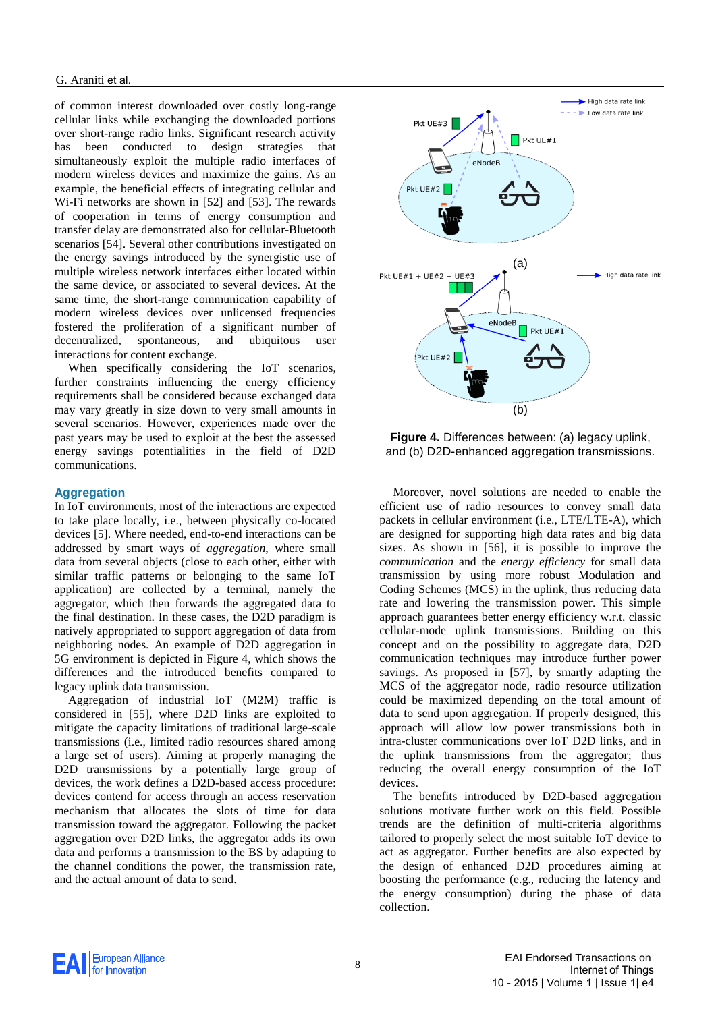of common interest downloaded over costly long-range cellular links while exchanging the downloaded portions over short-range radio links. Significant research activity has been conducted to design strategies that simultaneously exploit the multiple radio interfaces of modern wireless devices and maximize the gains. As an example, the beneficial effects of integrating cellular and Wi-Fi networks are shown in [52] and [53]. The rewards of cooperation in terms of energy consumption and transfer delay are demonstrated also for cellular-Bluetooth scenarios [54]. Several other contributions investigated on the energy savings introduced by the synergistic use of multiple wireless network interfaces either located within the same device, or associated to several devices. At the same time, the short-range communication capability of modern wireless devices over unlicensed frequencies fostered the proliferation of a significant number of decentralized, spontaneous, and ubiquitous user interactions for content exchange.

When specifically considering the IoT scenarios, further constraints influencing the energy efficiency requirements shall be considered because exchanged data may vary greatly in size down to very small amounts in several scenarios. However, experiences made over the past years may be used to exploit at the best the assessed energy savings potentialities in the field of D2D communications.

### **Aggregation**

In IoT environments, most of the interactions are expected to take place locally, i.e., between physically co-located devices [5]. Where needed, end-to-end interactions can be addressed by smart ways of *aggregation*, where small data from several objects (close to each other, either with similar traffic patterns or belonging to the same IoT application) are collected by a terminal, namely the aggregator, which then forwards the aggregated data to the final destination. In these cases, the D2D paradigm is natively appropriated to support aggregation of data from neighboring nodes. An example of D2D aggregation in 5G environment is depicted in Figure 4, which shows the differences and the introduced benefits compared to legacy uplink data transmission.

Aggregation of industrial IoT (M2M) traffic is considered in [55], where D2D links are exploited to mitigate the capacity limitations of traditional large-scale transmissions (i.e., limited radio resources shared among a large set of users). Aiming at properly managing the D2D transmissions by a potentially large group of devices, the work defines a D2D-based access procedure: devices contend for access through an access reservation mechanism that allocates the slots of time for data transmission toward the aggregator. Following the packet aggregation over D2D links, the aggregator adds its own data and performs a transmission to the BS by adapting to the channel conditions the power, the transmission rate, and the actual amount of data to send.



**Figure 4.** Differences between: (a) legacy uplink, and (b) D2D-enhanced aggregation transmissions.

Moreover, novel solutions are needed to enable the efficient use of radio resources to convey small data packets in cellular environment (i.e., LTE/LTE-A), which are designed for supporting high data rates and big data sizes. As shown in [56], it is possible to improve the *communication* and the *energy efficiency* for small data transmission by using more robust Modulation and Coding Schemes (MCS) in the uplink, thus reducing data rate and lowering the transmission power. This simple approach guarantees better energy efficiency w.r.t. classic cellular-mode uplink transmissions. Building on this concept and on the possibility to aggregate data, D2D communication techniques may introduce further power savings. As proposed in [57], by smartly adapting the MCS of the aggregator node, radio resource utilization could be maximized depending on the total amount of data to send upon aggregation. If properly designed, this approach will allow low power transmissions both in intra-cluster communications over IoT D2D links, and in the uplink transmissions from the aggregator; thus reducing the overall energy consumption of the IoT devices.

The benefits introduced by D2D-based aggregation solutions motivate further work on this field. Possible trends are the definition of multi-criteria algorithms tailored to properly select the most suitable IoT device to act as aggregator. Further benefits are also expected by the design of enhanced D2D procedures aiming at boosting the performance (e.g., reducing the latency and the energy consumption) during the phase of data collection.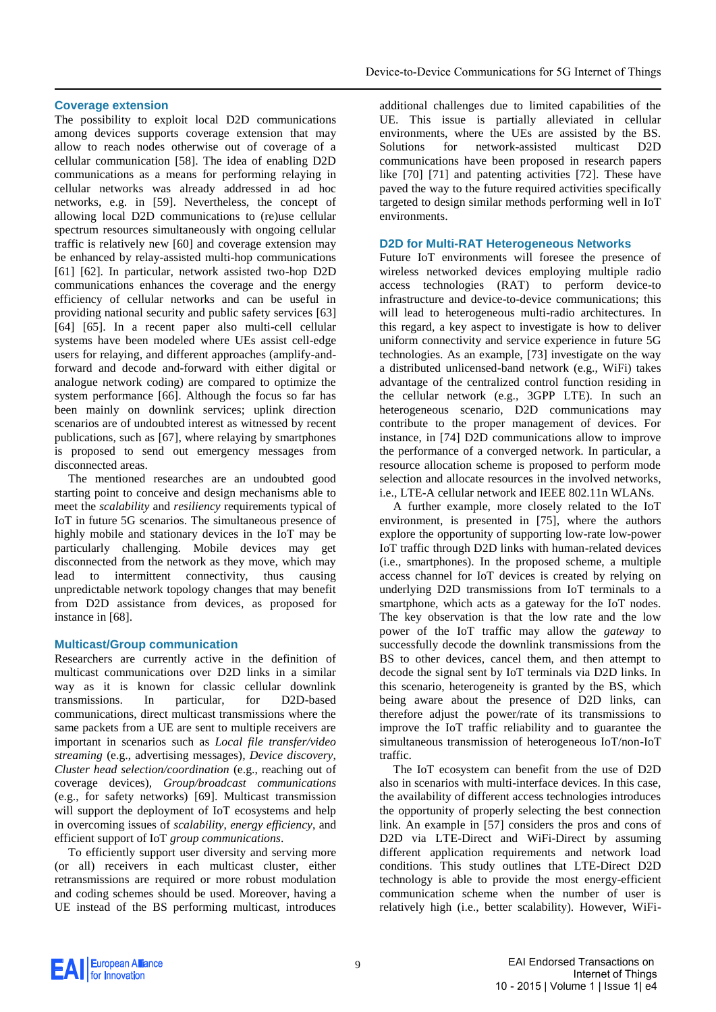## **Coverage extension**

The possibility to exploit local D2D communications among devices supports coverage extension that may allow to reach nodes otherwise out of coverage of a cellular communication [58]. The idea of enabling D2D communications as a means for performing relaying in cellular networks was already addressed in ad hoc networks, e.g. in [59]. Nevertheless, the concept of allowing local D2D communications to (re)use cellular spectrum resources simultaneously with ongoing cellular traffic is relatively new [60] and coverage extension may be enhanced by relay-assisted multi-hop communications [61] [62]. In particular, network assisted two-hop D2D communications enhances the coverage and the energy efficiency of cellular networks and can be useful in providing national security and public safety services [63] [64] [65]. In a recent paper also multi-cell cellular systems have been modeled where UEs assist cell-edge users for relaying, and different approaches (amplify-andforward and decode and-forward with either digital or analogue network coding) are compared to optimize the system performance [66]. Although the focus so far has been mainly on downlink services; uplink direction scenarios are of undoubted interest as witnessed by recent publications, such as [67], where relaying by smartphones is proposed to send out emergency messages from disconnected areas.

The mentioned researches are an undoubted good starting point to conceive and design mechanisms able to meet the *scalability* and *resiliency* requirements typical of IoT in future 5G scenarios. The simultaneous presence of highly mobile and stationary devices in the IoT may be particularly challenging. Mobile devices may get disconnected from the network as they move, which may lead to intermittent connectivity, thus causing unpredictable network topology changes that may benefit from D2D assistance from devices, as proposed for instance in [68].

## **Multicast/Group communication**

Researchers are currently active in the definition of multicast communications over D2D links in a similar way as it is known for classic cellular downlink transmissions. In particular, for D2D-based communications, direct multicast transmissions where the same packets from a UE are sent to multiple receivers are important in scenarios such as *Local file transfer/video streaming* (e.g., advertising messages)*, Device discovery, Cluster head selection/coordination* (e.g., reaching out of coverage devices)*, Group/broadcast communications*  (e.g., for safety networks) [69]. Multicast transmission will support the deployment of IoT ecosystems and help in overcoming issues of *scalability*, *energy efficiency*, and efficient support of IoT *group communications*.

To efficiently support user diversity and serving more (or all) receivers in each multicast cluster, either retransmissions are required or more robust modulation and coding schemes should be used. Moreover, having a UE instead of the BS performing multicast, introduces

additional challenges due to limited capabilities of the UE. This issue is partially alleviated in cellular environments, where the UEs are assisted by the BS. Solutions for network-assisted multicast D2D communications have been proposed in research papers like [70] [71] and patenting activities [72]. These have paved the way to the future required activities specifically targeted to design similar methods performing well in IoT environments.

## **D2D for Multi-RAT Heterogeneous Networks**

Future IoT environments will foresee the presence of wireless networked devices employing multiple radio access technologies (RAT) to perform device-to infrastructure and device-to-device communications; this will lead to heterogeneous multi-radio architectures. In this regard, a key aspect to investigate is how to deliver uniform connectivity and service experience in future 5G technologies. As an example, [73] investigate on the way a distributed unlicensed-band network (e.g., WiFi) takes advantage of the centralized control function residing in the cellular network (e.g., 3GPP LTE). In such an heterogeneous scenario, D2D communications may contribute to the proper management of devices. For instance, in [74] D2D communications allow to improve the performance of a converged network. In particular, a resource allocation scheme is proposed to perform mode selection and allocate resources in the involved networks, i.e., LTE-A cellular network and IEEE 802.11n WLANs.

A further example, more closely related to the IoT environment, is presented in [75], where the authors explore the opportunity of supporting low-rate low-power IoT traffic through D2D links with human-related devices (i.e., smartphones). In the proposed scheme, a multiple access channel for IoT devices is created by relying on underlying D2D transmissions from IoT terminals to a smartphone, which acts as a gateway for the IoT nodes. The key observation is that the low rate and the low power of the IoT traffic may allow the *gateway* to successfully decode the downlink transmissions from the BS to other devices, cancel them, and then attempt to decode the signal sent by IoT terminals via D2D links. In this scenario, heterogeneity is granted by the BS, which being aware about the presence of D2D links, can therefore adjust the power/rate of its transmissions to improve the IoT traffic reliability and to guarantee the simultaneous transmission of heterogeneous IoT/non-IoT traffic.

The IoT ecosystem can benefit from the use of D2D also in scenarios with multi-interface devices. In this case, the availability of different access technologies introduces the opportunity of properly selecting the best connection link. An example in [57] considers the pros and cons of D2D via LTE-Direct and WiFi-Direct by assuming different application requirements and network load conditions. This study outlines that LTE-Direct D2D technology is able to provide the most energy-efficient communication scheme when the number of user is relatively high (i.e., better scalability). However, WiFi-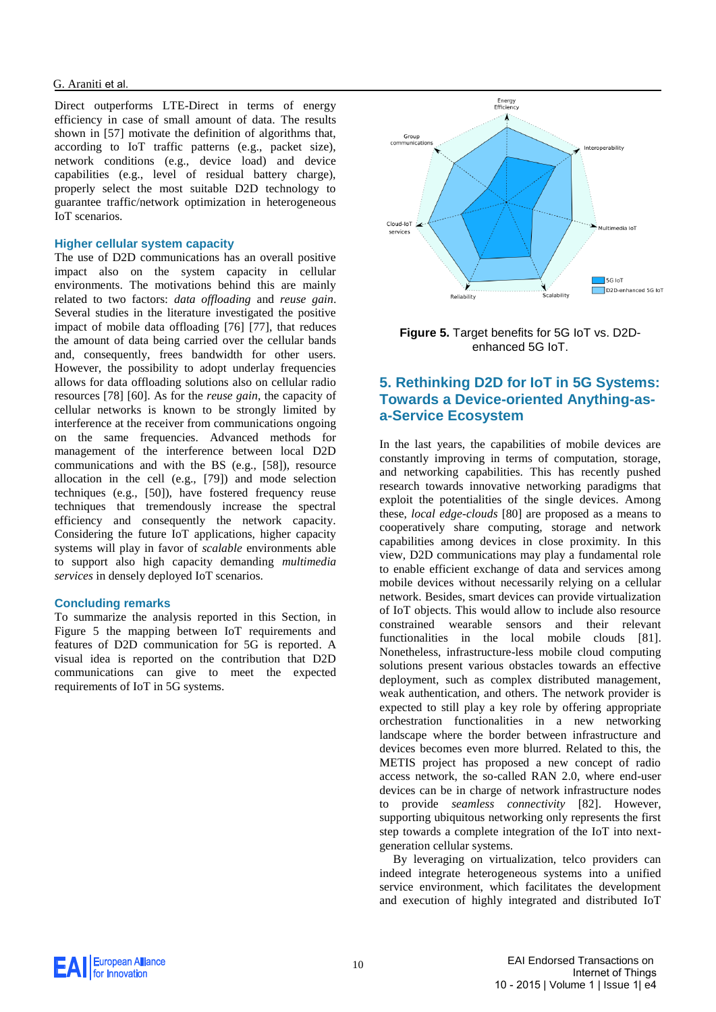#### G. Araniti et al.

Direct outperforms LTE-Direct in terms of energy efficiency in case of small amount of data. The results shown in [57] motivate the definition of algorithms that, according to IoT traffic patterns (e.g., packet size), network conditions (e.g., device load) and device capabilities (e.g., level of residual battery charge), properly select the most suitable D2D technology to guarantee traffic/network optimization in heterogeneous IoT scenarios.

### **Higher cellular system capacity**

The use of D2D communications has an overall positive impact also on the system capacity in cellular environments. The motivations behind this are mainly related to two factors: *data offloading* and *reuse gain*. Several studies in the literature investigated the positive impact of mobile data offloading [76] [77], that reduces the amount of data being carried over the cellular bands and, consequently, frees bandwidth for other users. However, the possibility to adopt underlay frequencies allows for data offloading solutions also on cellular radio resources [78] [60]. As for the *reuse gain*, the capacity of cellular networks is known to be strongly limited by interference at the receiver from communications ongoing on the same frequencies. Advanced methods for management of the interference between local D2D communications and with the BS (e.g., [58]), resource allocation in the cell (e.g., [79]) and mode selection techniques (e.g., [50]), have fostered frequency reuse techniques that tremendously increase the spectral efficiency and consequently the network capacity. Considering the future IoT applications, higher capacity systems will play in favor of *scalable* environments able to support also high capacity demanding *multimedia services* in densely deployed IoT scenarios.

## **Concluding remarks**

To summarize the analysis reported in this Section, in Figure 5 the mapping between IoT requirements and features of D2D communication for 5G is reported. A visual idea is reported on the contribution that D2D communications can give to meet the expected requirements of IoT in 5G systems.



**Figure 5.** Target benefits for 5G IoT vs. D2Denhanced 5G IoT.

# **5. Rethinking D2D for IoT in 5G Systems: Towards a Device-oriented Anything-asa-Service Ecosystem**

In the last years, the capabilities of mobile devices are constantly improving in terms of computation, storage, and networking capabilities. This has recently pushed research towards innovative networking paradigms that exploit the potentialities of the single devices. Among these, *local edge-clouds* [80] are proposed as a means to cooperatively share computing, storage and network capabilities among devices in close proximity. In this view, D2D communications may play a fundamental role to enable efficient exchange of data and services among mobile devices without necessarily relying on a cellular network. Besides, smart devices can provide virtualization of IoT objects. This would allow to include also resource constrained wearable sensors and their relevant functionalities in the local mobile clouds [81]. Nonetheless, infrastructure-less mobile cloud computing solutions present various obstacles towards an effective deployment, such as complex distributed management, weak authentication, and others. The network provider is expected to still play a key role by offering appropriate orchestration functionalities in a new networking landscape where the border between infrastructure and devices becomes even more blurred. Related to this, the METIS project has proposed a new concept of radio access network, the so-called RAN 2.0, where end-user devices can be in charge of network infrastructure nodes to provide *seamless connectivity* [82]. However, supporting ubiquitous networking only represents the first step towards a complete integration of the IoT into nextgeneration cellular systems.

By leveraging on virtualization, telco providers can indeed integrate heterogeneous systems into a unified service environment, which facilitates the development and execution of highly integrated and distributed IoT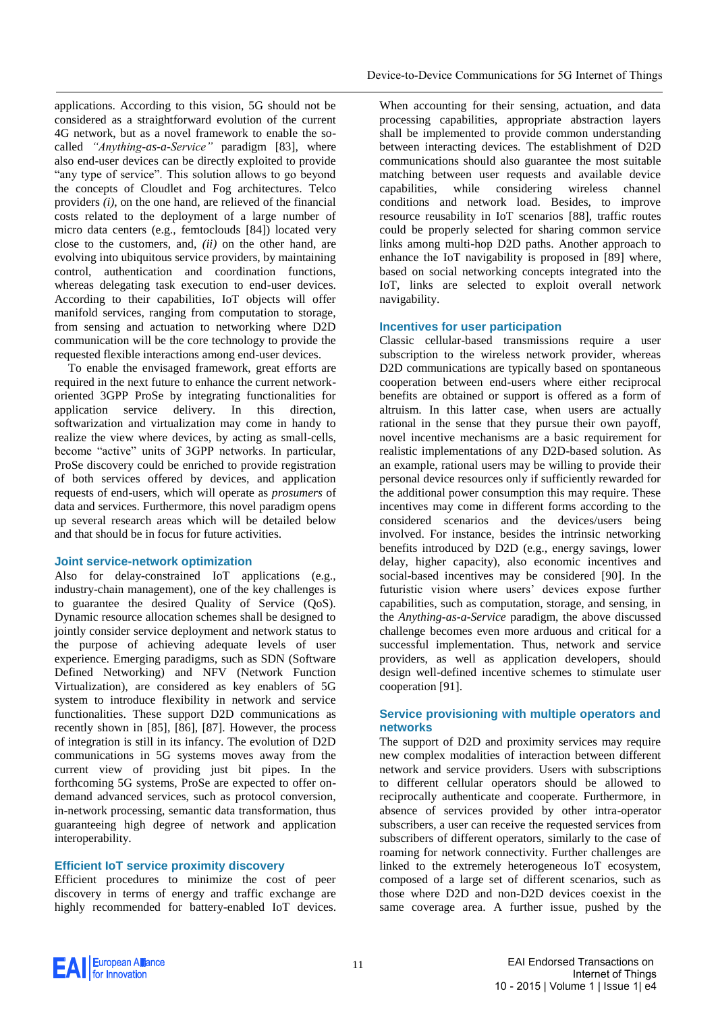applications. According to this vision, 5G should not be considered as a straightforward evolution of the current 4G network, but as a novel framework to enable the socalled *"Anything-as-a-Service"* paradigm [83], where also end-user devices can be directly exploited to provide "any type of service". This solution allows to go beyond the concepts of Cloudlet and Fog architectures. Telco providers *(i)*, on the one hand, are relieved of the financial costs related to the deployment of a large number of micro data centers (e.g., femtoclouds [84]) located very close to the customers, and, *(ii)* on the other hand, are evolving into ubiquitous service providers, by maintaining control, authentication and coordination functions, whereas delegating task execution to end-user devices. According to their capabilities, IoT objects will offer manifold services, ranging from computation to storage, from sensing and actuation to networking where D2D communication will be the core technology to provide the requested flexible interactions among end-user devices.

To enable the envisaged framework, great efforts are required in the next future to enhance the current networkoriented 3GPP ProSe by integrating functionalities for application service delivery. In this direction, softwarization and virtualization may come in handy to realize the view where devices, by acting as small-cells, become "active" units of 3GPP networks. In particular, ProSe discovery could be enriched to provide registration of both services offered by devices, and application requests of end-users, which will operate as *prosumers* of data and services. Furthermore, this novel paradigm opens up several research areas which will be detailed below and that should be in focus for future activities.

## **Joint service-network optimization**

Also for delay-constrained IoT applications (e.g., industry-chain management), one of the key challenges is to guarantee the desired Quality of Service (QoS). Dynamic resource allocation schemes shall be designed to jointly consider service deployment and network status to the purpose of achieving adequate levels of user experience. Emerging paradigms, such as SDN (Software Defined Networking) and NFV (Network Function Virtualization), are considered as key enablers of 5G system to introduce flexibility in network and service functionalities. These support D2D communications as recently shown in [85], [86], [87]. However, the process of integration is still in its infancy. The evolution of D2D communications in 5G systems moves away from the current view of providing just bit pipes. In the forthcoming 5G systems, ProSe are expected to offer ondemand advanced services, such as protocol conversion, in-network processing, semantic data transformation, thus guaranteeing high degree of network and application interoperability.

## **Efficient IoT service proximity discovery**

Efficient procedures to minimize the cost of peer discovery in terms of energy and traffic exchange are highly recommended for battery-enabled IoT devices.

When accounting for their sensing, actuation, and data processing capabilities, appropriate abstraction layers shall be implemented to provide common understanding between interacting devices. The establishment of D2D communications should also guarantee the most suitable matching between user requests and available device capabilities, while considering wireless channel conditions and network load. Besides, to improve resource reusability in IoT scenarios [88], traffic routes could be properly selected for sharing common service links among multi-hop D2D paths. Another approach to enhance the IoT navigability is proposed in [89] where, based on social networking concepts integrated into the IoT, links are selected to exploit overall network navigability.

### **Incentives for user participation**

Classic cellular-based transmissions require a user subscription to the wireless network provider, whereas D2D communications are typically based on spontaneous cooperation between end-users where either reciprocal benefits are obtained or support is offered as a form of altruism. In this latter case, when users are actually rational in the sense that they pursue their own payoff, novel incentive mechanisms are a basic requirement for realistic implementations of any D2D-based solution. As an example, rational users may be willing to provide their personal device resources only if sufficiently rewarded for the additional power consumption this may require. These incentives may come in different forms according to the considered scenarios and the devices/users being involved. For instance, besides the intrinsic networking benefits introduced by D2D (e.g., energy savings, lower delay, higher capacity), also economic incentives and social-based incentives may be considered [90]. In the futuristic vision where users' devices expose further capabilities, such as computation, storage, and sensing, in the *Anything-as-a-Service* paradigm, the above discussed challenge becomes even more arduous and critical for a successful implementation. Thus, network and service providers, as well as application developers, should design well-defined incentive schemes to stimulate user cooperation [91].

### **Service provisioning with multiple operators and networks**

The support of D2D and proximity services may require new complex modalities of interaction between different network and service providers. Users with subscriptions to different cellular operators should be allowed to reciprocally authenticate and cooperate. Furthermore, in absence of services provided by other intra-operator subscribers, a user can receive the requested services from subscribers of different operators, similarly to the case of roaming for network connectivity. Further challenges are linked to the extremely heterogeneous IoT ecosystem, composed of a large set of different scenarios, such as those where D2D and non-D2D devices coexist in the same coverage area. A further issue, pushed by the

**EAI** European Alliance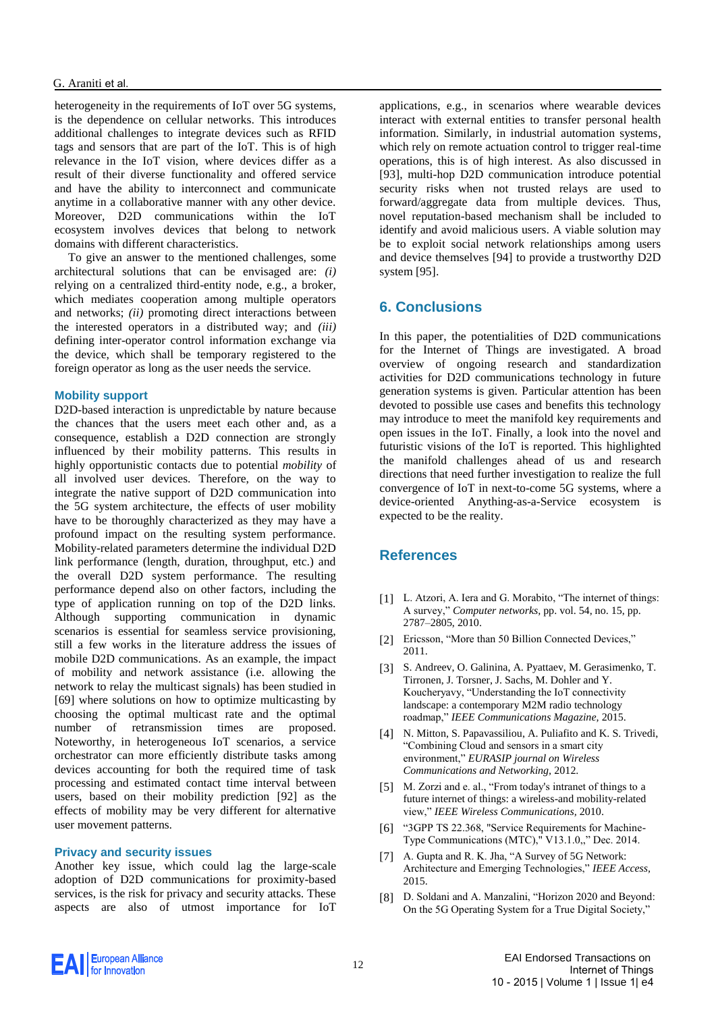heterogeneity in the requirements of IoT over 5G systems, is the dependence on cellular networks. This introduces additional challenges to integrate devices such as RFID tags and sensors that are part of the IoT. This is of high relevance in the IoT vision, where devices differ as a result of their diverse functionality and offered service and have the ability to interconnect and communicate anytime in a collaborative manner with any other device. Moreover, D2D communications within the IoT ecosystem involves devices that belong to network domains with different characteristics.

To give an answer to the mentioned challenges, some architectural solutions that can be envisaged are: *(i)* relying on a centralized third-entity node, e.g., a broker, which mediates cooperation among multiple operators and networks; *(ii)* promoting direct interactions between the interested operators in a distributed way; and *(iii)* defining inter-operator control information exchange via the device, which shall be temporary registered to the foreign operator as long as the user needs the service.

### **Mobility support**

D2D-based interaction is unpredictable by nature because the chances that the users meet each other and, as a consequence, establish a D2D connection are strongly influenced by their mobility patterns. This results in highly opportunistic contacts due to potential *mobility* of all involved user devices. Therefore, on the way to integrate the native support of D2D communication into the 5G system architecture, the effects of user mobility have to be thoroughly characterized as they may have a profound impact on the resulting system performance. Mobility-related parameters determine the individual D2D link performance (length, duration, throughput, etc.) and the overall D2D system performance. The resulting performance depend also on other factors, including the type of application running on top of the D2D links. Although supporting communication in dynamic scenarios is essential for seamless service provisioning, still a few works in the literature address the issues of mobile D2D communications. As an example, the impact of mobility and network assistance (i.e. allowing the network to relay the multicast signals) has been studied in [69] where solutions on how to optimize multicasting by choosing the optimal multicast rate and the optimal number of retransmission times are proposed. Noteworthy, in heterogeneous IoT scenarios, a service orchestrator can more efficiently distribute tasks among devices accounting for both the required time of task processing and estimated contact time interval between users, based on their mobility prediction [92] as the effects of mobility may be very different for alternative user movement patterns.

#### **Privacy and security issues**

Another key issue, which could lag the large-scale adoption of D2D communications for proximity-based services, is the risk for privacy and security attacks. These aspects are also of utmost importance for IoT applications, e.g., in scenarios where wearable devices interact with external entities to transfer personal health information. Similarly, in industrial automation systems, which rely on remote actuation control to trigger real-time operations, this is of high interest. As also discussed in [93], multi-hop D2D communication introduce potential security risks when not trusted relays are used to forward/aggregate data from multiple devices. Thus, novel reputation-based mechanism shall be included to identify and avoid malicious users. A viable solution may be to exploit social network relationships among users and device themselves [94] to provide a trustworthy D2D system [95].

# **6. Conclusions**

In this paper, the potentialities of D2D communications for the Internet of Things are investigated. A broad overview of ongoing research and standardization activities for D2D communications technology in future generation systems is given. Particular attention has been devoted to possible use cases and benefits this technology may introduce to meet the manifold key requirements and open issues in the IoT. Finally, a look into the novel and futuristic visions of the IoT is reported. This highlighted the manifold challenges ahead of us and research directions that need further investigation to realize the full convergence of IoT in next-to-come 5G systems, where a device-oriented Anything-as-a-Service ecosystem is expected to be the reality.

## **References**

- [1] L. Atzori, A. Iera and G. Morabito, "The internet of things: A survey," *Computer networks,* pp. vol. 54, no. 15, pp. 2787–2805, 2010.
- [2] Ericsson, "More than 50 Billion Connected Devices," 2011.
- [3] S. Andreev, O. Galinina, A. Pyattaev, M. Gerasimenko, T. Tirronen, J. Torsner, J. Sachs, M. Dohler and Y. Koucheryavy, "Understanding the IoT connectivity landscape: a contemporary M2M radio technology roadmap," *IEEE Communications Magazine,* 2015.
- [4] N. Mitton, S. Papavassiliou, A. Puliafito and K. S. Trivedi, "Combining Cloud and sensors in a smart city environment," *EURASIP journal on Wireless Communications and Networking,* 2012.
- [5] M. Zorzi and e. al., "From today's intranet of things to a future internet of things: a wireless-and mobility-related view," *IEEE Wireless Communications,* 2010.
- [6] "3GPP TS 22.368, "Service Requirements for Machine-Type Communications (MTC)," V13.1.0,," Dec. 2014.
- [7] A. Gupta and R. K. Jha, "A Survey of 5G Network: Architecture and Emerging Technologies," *IEEE Access,*  2015.
- [8] D. Soldani and A. Manzalini, "Horizon 2020 and Beyond: On the 5G Operating System for a True Digital Society,"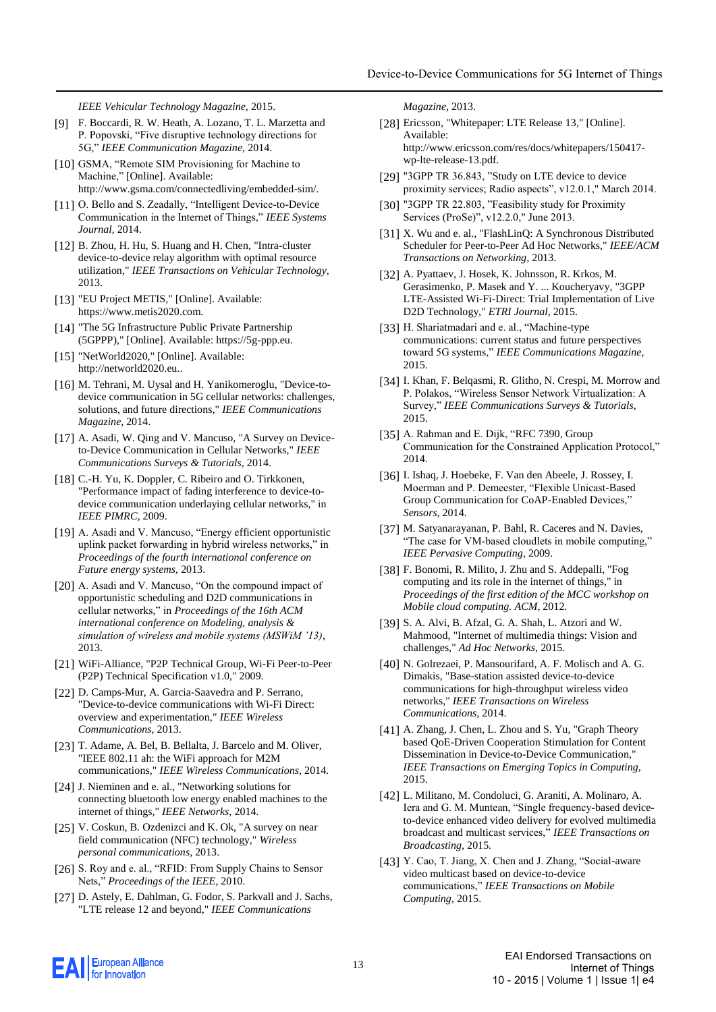*IEEE Vehicular Technology Magazine,* 2015.

- [9] F. Boccardi, R. W. Heath, A. Lozano, T. L. Marzetta and P. Popovski, "Five disruptive technology directions for 5G," *IEEE Communication Magazine,* 2014.
- [10] GSMA, "Remote SIM Provisioning for Machine to Machine," [Online]. Available: http://www.gsma.com/connectedliving/embedded-sim/.
- [11] O. Bello and S. Zeadally, "Intelligent Device-to-Device Communication in the Internet of Things," *IEEE Systems Journal,* 2014.
- [12] B. Zhou, H. Hu, S. Huang and H. Chen, "Intra-cluster device-to-device relay algorithm with optimal resource utilization," *IEEE Transactions on Vehicular Technology,*  2013.
- [13] "EU Project METIS," [Online]. Available: https://www.metis2020.com.
- [14] "The 5G Infrastructure Public Private Partnership (5GPPP)," [Online]. Available: https://5g-ppp.eu.
- [15] "NetWorld2020," [Online]. Available: http://networld2020.eu..
- [16] M. Tehrani, M. Uysal and H. Yanikomeroglu, "Device-todevice communication in 5G cellular networks: challenges, solutions, and future directions," *IEEE Communications Magazine,* 2014.
- [17] A. Asadi, W. Qing and V. Mancuso, "A Survey on Deviceto-Device Communication in Cellular Networks," *IEEE Communications Surveys & Tutorials,* 2014.
- [18] C.-H. Yu, K. Doppler, C. Ribeiro and O. Tirkkonen, "Performance impact of fading interference to device-todevice communication underlaying cellular networks," in *IEEE PIMRC*, 2009.
- [19] A. Asadi and V. Mancuso, "Energy efficient opportunistic uplink packet forwarding in hybrid wireless networks," in *Proceedings of the fourth international conference on Future energy systems*, 2013.
- [20] A. Asadi and V. Mancuso, "On the compound impact of opportunistic scheduling and D2D communications in cellular networks," in *Proceedings of the 16th ACM international conference on Modeling, analysis & simulation of wireless and mobile systems (MSWiM '13)*, 2013.
- [21] WiFi-Alliance, "P2P Technical Group, Wi-Fi Peer-to-Peer (P2P) Technical Specification v1.0," 2009.
- [22] D. Camps-Mur, A. Garcia-Saavedra and P. Serrano, "Device-to-device communications with Wi-Fi Direct: overview and experimentation," *IEEE Wireless Communications,* 2013.
- [23] T. Adame, A. Bel, B. Bellalta, J. Barcelo and M. Oliver, "IEEE 802.11 ah: the WiFi approach for M2M communications," *IEEE Wireless Communications,* 2014.
- [24] J. Nieminen and e. al., "Networking solutions for connecting bluetooth low energy enabled machines to the internet of things," *IEEE Networks,* 2014.
- [25] V. Coskun, B. Ozdenizci and K. Ok, "A survey on near field communication (NFC) technology," *Wireless personal communications,* 2013.
- [26] S. Roy and e. al., "RFID: From Supply Chains to Sensor Nets," *Proceedings of the IEEE,* 2010.
- [27] D. Astely, E. Dahlman, G. Fodor, S. Parkvall and J. Sachs, "LTE release 12 and beyond," *IEEE Communications*

*Magazine,* 2013.

- [28] Ericsson, "Whitepaper: LTE Release 13," [Online]. Available: http://www.ericsson.com/res/docs/whitepapers/150417 wp-lte-release-13.pdf.
- [29] "3GPP TR 36.843, "Study on LTE device to device proximity services; Radio aspects", v12.0.1," March 2014.
- [30] "3GPP TR 22.803, "Feasibility study for Proximity Services (ProSe)", v12.2.0," June 2013.
- [31] X. Wu and e. al., "FlashLinQ: A Synchronous Distributed Scheduler for Peer-to-Peer Ad Hoc Networks," *IEEE/ACM Transactions on Networking,* 2013.
- [32] A. Pyattaev, J. Hosek, K. Johnsson, R. Krkos, M. Gerasimenko, P. Masek and Y. ... Koucheryavy, "3GPP LTE-Assisted Wi-Fi-Direct: Trial Implementation of Live D2D Technology," *ETRI Journal,* 2015.
- [33] H. Shariatmadari and e. al., "Machine-type communications: current status and future perspectives toward 5G systems," *IEEE Communications Magazine,*  2015.
- [34] I. Khan, F. Belqasmi, R. Glitho, N. Crespi, M. Morrow and P. Polakos, "Wireless Sensor Network Virtualization: A Survey," *IEEE Communications Surveys & Tutorials,*  2015.
- [35] A. Rahman and E. Dijk, "RFC 7390, Group Communication for the Constrained Application Protocol," 2014.
- [36] I. Ishaq, J. Hoebeke, F. Van den Abeele, J. Rossey, I. Moerman and P. Demeester, "Flexible Unicast-Based Group Communication for CoAP-Enabled Devices," *Sensors,* 2014.
- [37] M. Satyanarayanan, P. Bahl, R. Caceres and N. Davies, "The case for VM-based cloudlets in mobile computing," *IEEE Pervasive Computing,* 2009.
- [38] F. Bonomi, R. Milito, J. Zhu and S. Addepalli, "Fog computing and its role in the internet of things," in *Proceedings of the first edition of the MCC workshop on Mobile cloud computing. ACM*, 2012.
- [39] S. A. Alvi, B. Afzal, G. A. Shah, L. Atzori and W. Mahmood, "Internet of multimedia things: Vision and challenges," *Ad Hoc Networks,* 2015.
- [40] N. Golrezaei, P. Mansourifard, A. F. Molisch and A. G. Dimakis, "Base-station assisted device-to-device communications for high-throughput wireless video networks," *IEEE Transactions on Wireless Communications,* 2014.
- [41] A. Zhang, J. Chen, L. Zhou and S. Yu, "Graph Theory based QoE-Driven Cooperation Stimulation for Content Dissemination in Device-to-Device Communication," *IEEE Transactions on Emerging Topics in Computing,*  2015.
- [42] L. Militano, M. Condoluci, G. Araniti, A. Molinaro, A. Iera and G. M. Muntean, "Single frequency-based deviceto-device enhanced video delivery for evolved multimedia broadcast and multicast services," *IEEE Transactions on Broadcasting,* 2015.
- [43] Y. Cao, T. Jiang, X. Chen and J. Zhang, "Social-aware video multicast based on device-to-device communications," *IEEE Transactions on Mobile Computing,* 2015.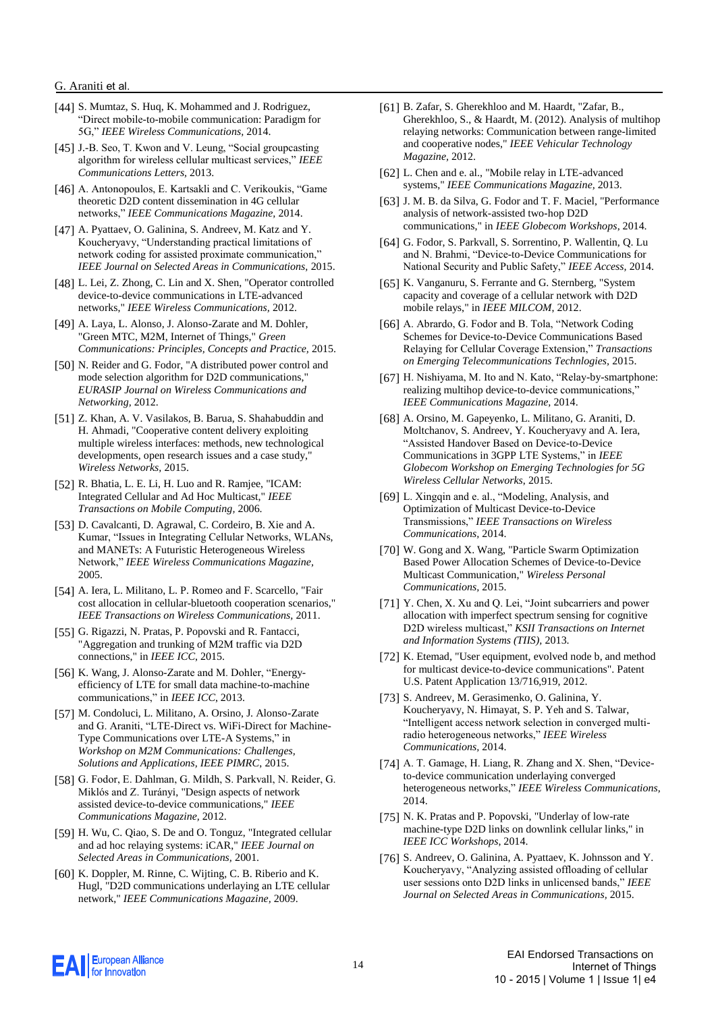- [44] S. Mumtaz, S. Huq, K. Mohammed and J. Rodriguez, "Direct mobile-to-mobile communication: Paradigm for 5G," *IEEE Wireless Communications,* 2014.
- [45] J.-B. Seo, T. Kwon and V. Leung, "Social groupcasting algorithm for wireless cellular multicast services," *IEEE Communications Letters,* 2013.
- [46] A. Antonopoulos, E. Kartsakli and C. Verikoukis, "Game theoretic D2D content dissemination in 4G cellular networks," *IEEE Communications Magazine,* 2014.
- [47] A. Pyattaev, O. Galinina, S. Andreev, M. Katz and Y. Koucheryavy, "Understanding practical limitations of network coding for assisted proximate communication," *IEEE Journal on Selected Areas in Communications,* 2015.
- [48] L. Lei, Z. Zhong, C. Lin and X. Shen, "Operator controlled device-to-device communications in LTE-advanced networks," *IEEE Wireless Communications,* 2012.
- [49] A. Laya, L. Alonso, J. Alonso-Zarate and M. Dohler, "Green MTC, M2M, Internet of Things," *Green Communications: Principles, Concepts and Practice,* 2015.
- [50] N. Reider and G. Fodor, "A distributed power control and mode selection algorithm for D2D communications," *EURASIP Journal on Wireless Communications and Networking,* 2012.
- [51] Z. Khan, A. V. Vasilakos, B. Barua, S. Shahabuddin and H. Ahmadi, "Cooperative content delivery exploiting multiple wireless interfaces: methods, new technological developments, open research issues and a case study," *Wireless Networks,* 2015.
- [52] R. Bhatia, L. E. Li, H. Luo and R. Ramjee, "ICAM: Integrated Cellular and Ad Hoc Multicast," *IEEE Transactions on Mobile Computing,* 2006.
- [53] D. Cavalcanti, D. Agrawal, C. Cordeiro, B. Xie and A. Kumar, "Issues in Integrating Cellular Networks, WLANs, and MANETs: A Futuristic Heterogeneous Wireless Network," *IEEE Wireless Communications Magazine,*  2005.
- [54] A. Iera, L. Militano, L. P. Romeo and F. Scarcello, "Fair cost allocation in cellular-bluetooth cooperation scenarios," *IEEE Transactions on Wireless Communications,* 2011.
- [55] G. Rigazzi, N. Pratas, P. Popovski and R. Fantacci, "Aggregation and trunking of M2M traffic via D2D connections," in *IEEE ICC*, 2015.
- [56] K. Wang, J. Alonso-Zarate and M. Dohler, "Energyefficiency of LTE for small data machine-to-machine communications," in *IEEE ICC*, 2013.
- [57] M. Condoluci, L. Militano, A. Orsino, J. Alonso-Zarate and G. Araniti, "LTE-Direct vs. WiFi-Direct for Machine-Type Communications over LTE-A Systems," in *Workshop on M2M Communications: Challenges, Solutions and Applications, IEEE PIMRC*, 2015.
- [58] G. Fodor, E. Dahlman, G. Mildh, S. Parkvall, N. Reider, G. Miklós and Z. Turányi, "Design aspects of network assisted device-to-device communications," *IEEE Communications Magazine,* 2012.
- [59] H. Wu, C. Qiao, S. De and O. Tonguz, "Integrated cellular and ad hoc relaying systems: iCAR," *IEEE Journal on Selected Areas in Communications,* 2001.
- [60] K. Doppler, M. Rinne, C. Wijting, C. B. Riberio and K. Hugl, "D2D communications underlaying an LTE cellular network," *IEEE Communications Magazine,* 2009.
- [61] B. Zafar, S. Gherekhloo and M. Haardt, "Zafar, B., Gherekhloo, S., & Haardt, M. (2012). Analysis of multihop relaying networks: Communication between range-limited and cooperative nodes," *IEEE Vehicular Technology Magazine,* 2012.
- [62] L. Chen and e. al., "Mobile relay in LTE-advanced systems," *IEEE Communications Magazine,* 2013.
- [63] J. M. B. da Silva, G. Fodor and T. F. Maciel, "Performance analysis of network-assisted two-hop D2D communications," in *IEEE Globecom Workshops*, 2014.
- [64] G. Fodor, S. Parkvall, S. Sorrentino, P. Wallentin, Q. Lu and N. Brahmi, "Device-to-Device Communications for National Security and Public Safety," *IEEE Access,* 2014.
- [65] K. Vanganuru, S. Ferrante and G. Sternberg, "System" capacity and coverage of a cellular network with D2D mobile relays," in *IEEE MILCOM*, 2012.
- [66] A. Abrardo, G. Fodor and B. Tola, "Network Coding Schemes for Device-to-Device Communications Based Relaying for Cellular Coverage Extension," *Transactions on Emerging Telecommunications Technlogies,* 2015.
- [67] H. Nishiyama, M. Ito and N. Kato, "Relay-by-smartphone: realizing multihop device-to-device communications," *IEEE Communications Magazine,* 2014.
- [68] A. Orsino, M. Gapeyenko, L. Militano, G. Araniti, D. Moltchanov, S. Andreev, Y. Koucheryavy and A. Iera, "Assisted Handover Based on Device-to-Device Communications in 3GPP LTE Systems," in *IEEE Globecom Workshop on Emerging Technologies for 5G Wireless Cellular Networks*, 2015.
- [69] L. Xingqin and e. al., "Modeling, Analysis, and Optimization of Multicast Device-to-Device Transmissions," *IEEE Transactions on Wireless Communications,* 2014.
- [70] W. Gong and X. Wang, "Particle Swarm Optimization Based Power Allocation Schemes of Device-to-Device Multicast Communication," *Wireless Personal Communications,* 2015.
- [71] Y. Chen, X. Xu and Q. Lei, "Joint subcarriers and power allocation with imperfect spectrum sensing for cognitive D2D wireless multicast," *KSII Transactions on Internet and Information Systems (TIIS),* 2013.
- [72] K. Etemad, "User equipment, evolved node b, and method for multicast device-to-device communications". Patent U.S. Patent Application 13/716,919, 2012.
- [73] S. Andreev, M. Gerasimenko, O. Galinina, Y. Koucheryavy, N. Himayat, S. P. Yeh and S. Talwar, "Intelligent access network selection in converged multiradio heterogeneous networks," *IEEE Wireless Communications,* 2014.
- [74] A. T. Gamage, H. Liang, R. Zhang and X. Shen, "Deviceto-device communication underlaying converged heterogeneous networks," *IEEE Wireless Communications,*  2014.
- [75] N. K. Pratas and P. Popovski, "Underlay of low-rate machine-type D2D links on downlink cellular links," in *IEEE ICC Workshops*, 2014.
- [76] S. Andreev, O. Galinina, A. Pyattaev, K. Johnsson and Y. Koucheryavy, "Analyzing assisted offloading of cellular user sessions onto D2D links in unlicensed bands," *IEEE Journal on Selected Areas in Communications,* 2015.